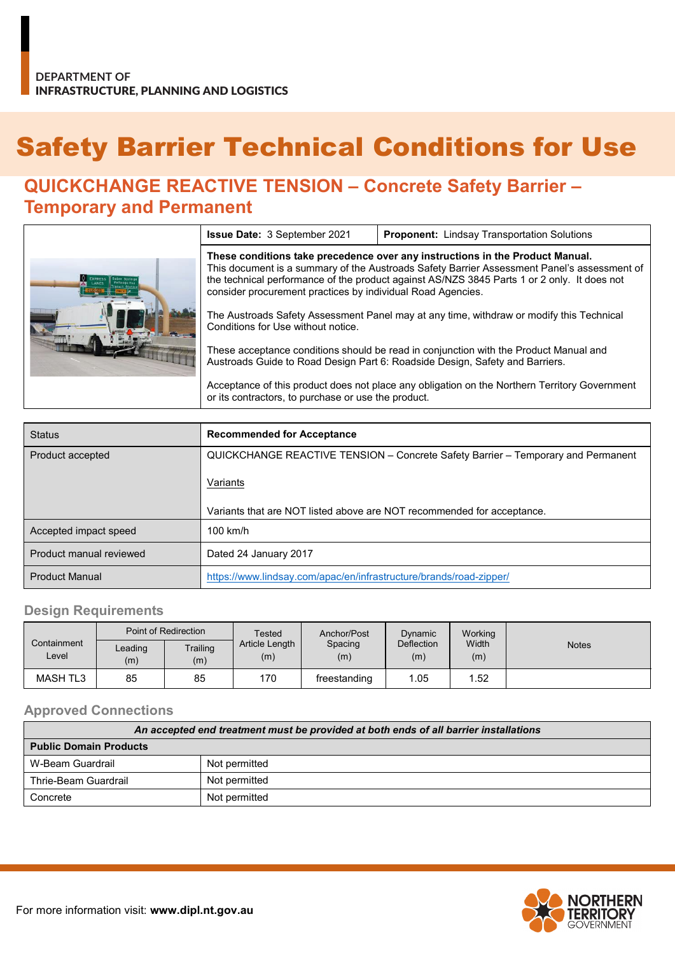# Safety Barrier Technical Conditions for Use

## **QUICKCHANGE REACTIVE TENSION – Concrete Safety Barrier – Temporary and Permanent**

|  | <b>Issue Date: 3 September 2021</b>                                                                                                                                                                                                                                                                                                        | <b>Proponent:</b> Lindsay Transportation Solutions                                            |  |  |  |
|--|--------------------------------------------------------------------------------------------------------------------------------------------------------------------------------------------------------------------------------------------------------------------------------------------------------------------------------------------|-----------------------------------------------------------------------------------------------|--|--|--|
|  | These conditions take precedence over any instructions in the Product Manual.<br>This document is a summary of the Austroads Safety Barrier Assessment Panel's assessment of<br>the technical performance of the product against AS/NZS 3845 Parts 1 or 2 only. It does not<br>consider procurement practices by individual Road Agencies. |                                                                                               |  |  |  |
|  | The Austroads Safety Assessment Panel may at any time, withdraw or modify this Technical<br>Conditions for Use without notice.                                                                                                                                                                                                             |                                                                                               |  |  |  |
|  | These acceptance conditions should be read in conjunction with the Product Manual and<br>Austroads Guide to Road Design Part 6: Roadside Design, Safety and Barriers.                                                                                                                                                                      |                                                                                               |  |  |  |
|  | or its contractors, to purchase or use the product.                                                                                                                                                                                                                                                                                        | Acceptance of this product does not place any obligation on the Northern Territory Government |  |  |  |

| <b>Status</b>           | <b>Recommended for Acceptance</b>                                                |
|-------------------------|----------------------------------------------------------------------------------|
| Product accepted        | QUICKCHANGE REACTIVE TENSION - Concrete Safety Barrier - Temporary and Permanent |
|                         | Variants                                                                         |
|                         | Variants that are NOT listed above are NOT recommended for acceptance.           |
| Accepted impact speed   | $100$ km/h                                                                       |
| Product manual reviewed | Dated 24 January 2017                                                            |
| <b>Product Manual</b>   | https://www.lindsay.com/apac/en/infrastructure/brands/road-zipper/               |

#### **Design Requirements**

|                      | Point of Redirection |                 | Tested                | Anchor/Post    | Dynamic                  | Working      |              |
|----------------------|----------------------|-----------------|-----------------------|----------------|--------------------------|--------------|--------------|
| Containment<br>Level | Leading<br>(m)       | Trailing<br>(m) | Article Length<br>(m) | Spacing<br>(m) | <b>Deflection</b><br>(m) | Width<br>(m) | <b>Notes</b> |
| MASH TL3             | 85                   | 85              | 170                   | freestanding   | 05. ا                    | .52          |              |

#### **Approved Connections**

| An accepted end treatment must be provided at both ends of all barrier installations |               |  |  |
|--------------------------------------------------------------------------------------|---------------|--|--|
| <b>Public Domain Products</b>                                                        |               |  |  |
| W-Beam Guardrail                                                                     | Not permitted |  |  |
| Thrie-Beam Guardrail                                                                 | Not permitted |  |  |
| Concrete                                                                             | Not permitted |  |  |